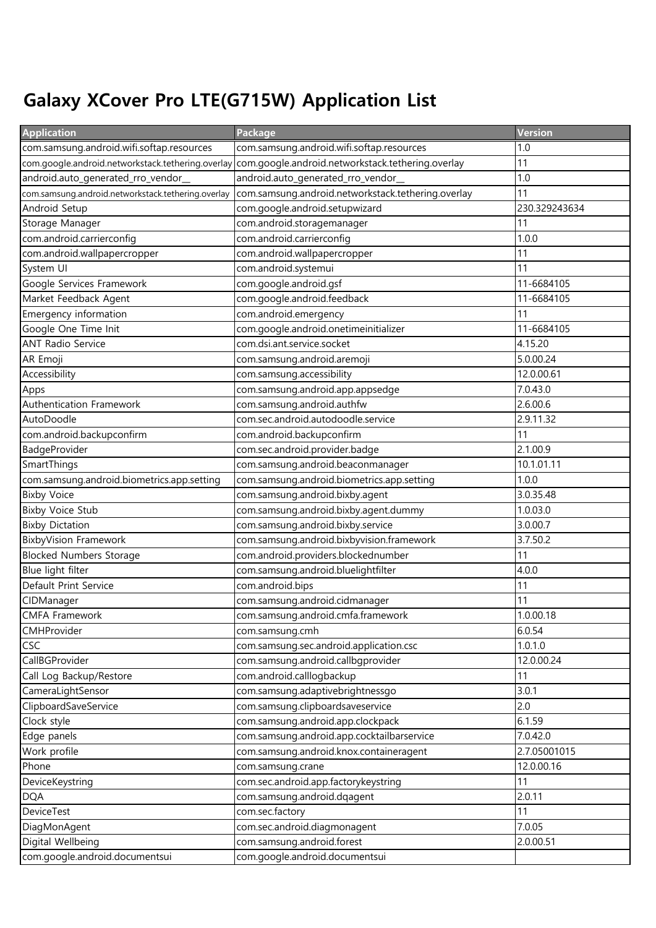## Galaxy XCover Pro LTE(G715W) Application List

| <b>Application</b>                                 | Package                                                    | Version       |
|----------------------------------------------------|------------------------------------------------------------|---------------|
| com.samsung.android.wifi.softap.resources          | com.samsung.android.wifi.softap.resources                  | 1.0           |
| com.google.android.networkstack.tethering.overlay  | com.google.android.networkstack.tethering.overlay          | 11            |
| android.auto_generated_rro_vendor_                 | android.auto_generated_rro_vendor_                         | 1.0           |
| com.samsung.android.networkstack.tethering.overlay | com.samsung.android.networkstack.tethering.overlay         | 11            |
| Android Setup                                      | com.google.android.setupwizard                             | 230.329243634 |
| Storage Manager                                    | com.android.storagemanager                                 | 11            |
| com.android.carrierconfig                          | com.android.carrierconfig                                  | 1.0.0         |
| com.android.wallpapercropper                       | com.android.wallpapercropper                               | 11            |
| System UI                                          | com.android.systemui                                       | 11            |
| Google Services Framework                          | com.google.android.gsf                                     | 11-6684105    |
| Market Feedback Agent                              | com.google.android.feedback                                | 11-6684105    |
| Emergency information                              | com.android.emergency                                      | 11            |
| Google One Time Init                               | com.google.android.onetimeinitializer                      | 11-6684105    |
| <b>ANT Radio Service</b>                           | com.dsi.ant.service.socket                                 | 4.15.20       |
| AR Emoji                                           | com.samsung.android.aremoji                                | 5.0.00.24     |
| Accessibility                                      | com.samsung.accessibility                                  | 12.0.00.61    |
| Apps                                               | com.samsung.android.app.appsedge                           | 7.0.43.0      |
| Authentication Framework                           | com.samsung.android.authfw                                 | 2.6.00.6      |
| AutoDoodle                                         | com.sec.android.autodoodle.service                         | 2.9.11.32     |
| com.android.backupconfirm                          | com.android.backupconfirm                                  | 11            |
| BadgeProvider                                      | com.sec.android.provider.badge                             | 2.1.00.9      |
| SmartThings                                        | com.samsung.android.beaconmanager                          | 10.1.01.11    |
| com.samsung.android.biometrics.app.setting         | com.samsung.android.biometrics.app.setting                 | 1.0.0         |
| <b>Bixby Voice</b>                                 | com.samsung.android.bixby.agent                            | 3.0.35.48     |
| <b>Bixby Voice Stub</b>                            | com.samsung.android.bixby.agent.dummy                      | 1.0.03.0      |
| <b>Bixby Dictation</b>                             | com.samsung.android.bixby.service                          | 3.0.00.7      |
| <b>BixbyVision Framework</b>                       | com.samsung.android.bixbyvision.framework                  | 3.7.50.2      |
| <b>Blocked Numbers Storage</b>                     | com.android.providers.blockednumber                        | 11            |
| Blue light filter                                  | com.samsung.android.bluelightfilter                        | 4.0.0         |
| Default Print Service                              | com.android.bips                                           | 11            |
| CIDManager                                         | com.samsung.android.cidmanager                             | 11            |
| <b>CMFA Framework</b>                              | com.samsung.android.cmfa.framework                         | 1.0.00.18     |
| CMHProvider                                        | com.samsung.cmh                                            | 6.0.54        |
| <b>CSC</b>                                         | com.samsung.sec.android.application.csc                    | 1.0.1.0       |
| CallBGProvider                                     | com.samsung.android.callbgprovider                         | 12.0.00.24    |
| Call Log Backup/Restore                            | com.android.calllogbackup                                  | 11            |
| CameraLightSensor                                  | com.samsung.adaptivebrightnessgo                           | 3.0.1         |
| ClipboardSaveService                               | com.samsung.clipboardsaveservice                           | 2.0           |
| Clock style                                        | com.samsung.android.app.clockpack                          | 6.1.59        |
| Edge panels                                        | com.samsung.android.app.cocktailbarservice                 | 7.0.42.0      |
| Work profile                                       | com.samsung.android.knox.containeragent                    | 2.7.05001015  |
| Phone                                              | com.samsung.crane                                          | 12.0.00.16    |
| DeviceKeystring                                    | com.sec.android.app.factorykeystring                       | 11            |
| <b>DQA</b>                                         | com.samsung.android.dqagent                                | 2.0.11        |
| <b>DeviceTest</b>                                  | com.sec.factory                                            | 11<br>7.0.05  |
| DiagMonAgent<br>Digital Wellbeing                  | com.sec.android.diagmonagent<br>com.samsung.android.forest | 2.0.00.51     |
|                                                    |                                                            |               |
| com.google.android.documentsui                     | com.google.android.documentsui                             |               |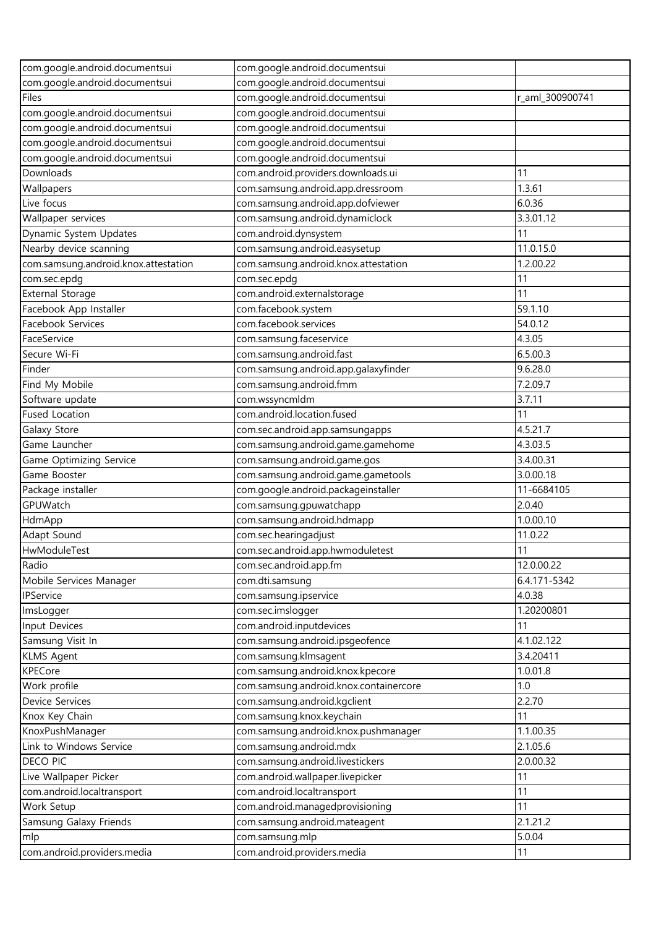| com.google.android.documentsui       | com.google.android.documentsui         |                 |
|--------------------------------------|----------------------------------------|-----------------|
| com.google.android.documentsui       | com.google.android.documentsui         |                 |
| Files                                | com.google.android.documentsui         | r_aml_300900741 |
| com.google.android.documentsui       | com.google.android.documentsui         |                 |
| com.google.android.documentsui       | com.google.android.documentsui         |                 |
| com.google.android.documentsui       | com.google.android.documentsui         |                 |
| com.google.android.documentsui       | com.google.android.documentsui         |                 |
| Downloads                            | com.android.providers.downloads.ui     | 11              |
| Wallpapers                           | com.samsung.android.app.dressroom      | 1.3.61          |
| Live focus                           | com.samsung.android.app.dofviewer      | 6.0.36          |
| Wallpaper services                   | com.samsung.android.dynamiclock        | 3.3.01.12       |
| Dynamic System Updates               | com.android.dynsystem                  | 11              |
| Nearby device scanning               | com.samsung.android.easysetup          | 11.0.15.0       |
| com.samsung.android.knox.attestation | com.samsung.android.knox.attestation   | 1.2.00.22       |
| com.sec.epdg                         | com.sec.epdg                           | 11              |
| <b>External Storage</b>              | com.android.externalstorage            | 11              |
| Facebook App Installer               | com.facebook.system                    | 59.1.10         |
| Facebook Services                    | com.facebook.services                  | 54.0.12         |
| FaceService                          | com.samsung.faceservice                | 4.3.05          |
| Secure Wi-Fi                         | com.samsung.android.fast               | 6.5.00.3        |
| Finder                               | com.samsung.android.app.galaxyfinder   | 9.6.28.0        |
| Find My Mobile                       | com.samsung.android.fmm                | 7.2.09.7        |
| Software update                      | com.wssyncmldm                         | 3.7.11          |
| <b>Fused Location</b>                | com.android.location.fused             | 11              |
| Galaxy Store                         | com.sec.android.app.samsungapps        | 4.5.21.7        |
| Game Launcher                        | com.samsung.android.game.gamehome      | 4.3.03.5        |
| Game Optimizing Service              | com.samsung.android.game.gos           | 3.4.00.31       |
| Game Booster                         | com.samsung.android.game.gametools     | 3.0.00.18       |
| Package installer                    | com.google.android.packageinstaller    | 11-6684105      |
| GPUWatch                             | com.samsung.gpuwatchapp                | 2.0.40          |
| HdmApp                               | com.samsung.android.hdmapp             | 1.0.00.10       |
| Adapt Sound                          | com.sec.hearingadjust                  | 11.0.22         |
| HwModuleTest                         | com.sec.android.app.hwmoduletest       | 11              |
| Radio                                | com.sec.android.app.fm                 | 12.0.00.22      |
| Mobile Services Manager              | com.dti.samsung                        | 6.4.171-5342    |
| IPService                            | com.samsung.ipservice                  | 4.0.38          |
| ImsLogger                            | com.sec.imslogger                      | 1.20200801      |
| Input Devices                        | com.android.inputdevices               | 11              |
| Samsung Visit In                     | com.samsung.android.ipsgeofence        | 4.1.02.122      |
| <b>KLMS Agent</b>                    | com.samsung.klmsagent                  | 3.4.20411       |
| <b>KPECore</b>                       | com.samsung.android.knox.kpecore       | 1.0.01.8        |
| Work profile                         | com.samsung.android.knox.containercore | 1.0             |
| Device Services                      | com.samsung.android.kgclient           | 2.2.70          |
| Knox Key Chain                       | com.samsung.knox.keychain              | 11              |
| KnoxPushManager                      | com.samsung.android.knox.pushmanager   | 1.1.00.35       |
| Link to Windows Service              | com.samsung.android.mdx                | 2.1.05.6        |
| DECO PIC                             | com.samsung.android.livestickers       | 2.0.00.32       |
| Live Wallpaper Picker                | com.android.wallpaper.livepicker       | 11              |
| com.android.localtransport           | com.android.localtransport             | 11              |
| Work Setup                           | com.android.managedprovisioning        | 11              |
| Samsung Galaxy Friends               | com.samsung.android.mateagent          | 2.1.21.2        |
| mlp                                  | com.samsung.mlp                        | 5.0.04          |
| com.android.providers.media          | com.android.providers.media            | 11              |
|                                      |                                        |                 |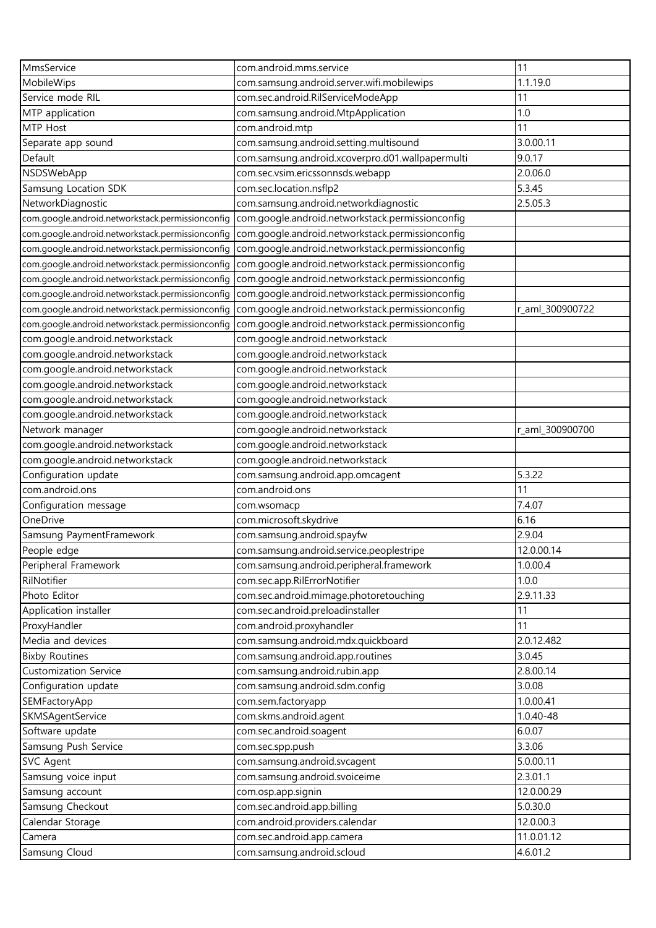| MmsService                                       | com.android.mms.service                          | 11              |
|--------------------------------------------------|--------------------------------------------------|-----------------|
| MobileWips                                       | com.samsung.android.server.wifi.mobilewips       | 1.1.19.0        |
| Service mode RIL                                 | com.sec.android.RilServiceModeApp                | 11              |
| MTP application                                  | com.samsung.android.MtpApplication               | 1.0             |
| MTP Host                                         | com.android.mtp                                  | 11              |
| Separate app sound                               | com.samsung.android.setting.multisound           | 3.0.00.11       |
| Default                                          | com.samsung.android.xcoverpro.d01.wallpapermulti | 9.0.17          |
| NSDSWebApp                                       | com.sec.vsim.ericssonnsds.webapp                 | 2.0.06.0        |
| Samsung Location SDK                             | com.sec.location.nsflp2                          | 5.3.45          |
| NetworkDiagnostic                                | com.samsung.android.networkdiagnostic            | 2.5.05.3        |
| com.google.android.networkstack.permissionconfig | com.google.android.networkstack.permissionconfig |                 |
| com.google.android.networkstack.permissionconfig | com.google.android.networkstack.permissionconfig |                 |
| com.google.android.networkstack.permissionconfig | com.google.android.networkstack.permissionconfig |                 |
| com.google.android.networkstack.permissionconfig | com.google.android.networkstack.permissionconfig |                 |
| com.google.android.networkstack.permissionconfig | com.google.android.networkstack.permissionconfig |                 |
| com.google.android.networkstack.permissionconfig | com.google.android.networkstack.permissionconfig |                 |
| com.google.android.networkstack.permissionconfig | com.google.android.networkstack.permissionconfig | r_aml_300900722 |
| com.google.android.networkstack.permissionconfig | com.google.android.networkstack.permissionconfig |                 |
| com.google.android.networkstack                  | com.google.android.networkstack                  |                 |
| com.google.android.networkstack                  | com.google.android.networkstack                  |                 |
| com.google.android.networkstack                  | com.google.android.networkstack                  |                 |
| com.google.android.networkstack                  | com.google.android.networkstack                  |                 |
|                                                  |                                                  |                 |
| com.google.android.networkstack                  | com.google.android.networkstack                  |                 |
| com.google.android.networkstack                  | com.google.android.networkstack                  |                 |
| Network manager                                  | com.google.android.networkstack                  | r_aml_300900700 |
| com.google.android.networkstack                  | com.google.android.networkstack                  |                 |
| com.google.android.networkstack                  | com.google.android.networkstack                  |                 |
| Configuration update                             | com.samsung.android.app.omcagent                 | 5.3.22          |
| com.android.ons                                  | com.android.ons                                  | 11              |
| Configuration message                            | com.wsomacp                                      | 7.4.07          |
| OneDrive                                         | com.microsoft.skydrive                           | 6.16            |
| Samsung PaymentFramework                         | com.samsung.android.spayfw                       | 2.9.04          |
| People edge                                      | com.samsung.android.service.peoplestripe         | 12.0.00.14      |
| Peripheral Framework                             | com.samsung.android.peripheral.framework         | 1.0.00.4        |
| RilNotifier                                      | com.sec.app.RilErrorNotifier                     | 1.0.0           |
| Photo Editor                                     | com.sec.android.mimage.photoretouching           | 2.9.11.33       |
| Application installer                            | com.sec.android.preloadinstaller                 | 11              |
| ProxyHandler                                     | com.android.proxyhandler                         | 11              |
| Media and devices                                | com.samsung.android.mdx.quickboard               | 2.0.12.482      |
| <b>Bixby Routines</b>                            | com.samsung.android.app.routines                 | 3.0.45          |
| <b>Customization Service</b>                     | com.samsung.android.rubin.app                    | 2.8.00.14       |
| Configuration update                             | com.samsung.android.sdm.config                   | 3.0.08          |
| SEMFactoryApp                                    | com.sem.factoryapp                               | 1.0.00.41       |
| SKMSAgentService                                 | com.skms.android.agent                           | 1.0.40-48       |
| Software update                                  | com.sec.android.soagent                          | 6.0.07          |
| Samsung Push Service                             | com.sec.spp.push                                 | 3.3.06          |
| SVC Agent                                        | com.samsung.android.svcagent                     | 5.0.00.11       |
| Samsung voice input                              | com.samsung.android.svoiceime                    | 2.3.01.1        |
| Samsung account                                  | com.osp.app.signin                               | 12.0.00.29      |
| Samsung Checkout                                 | com.sec.android.app.billing                      | 5.0.30.0        |
| Calendar Storage                                 | com.android.providers.calendar                   | 12.0.00.3       |
| Camera                                           | com.sec.android.app.camera                       | 11.0.01.12      |
| Samsung Cloud                                    | com.samsung.android.scloud                       | 4.6.01.2        |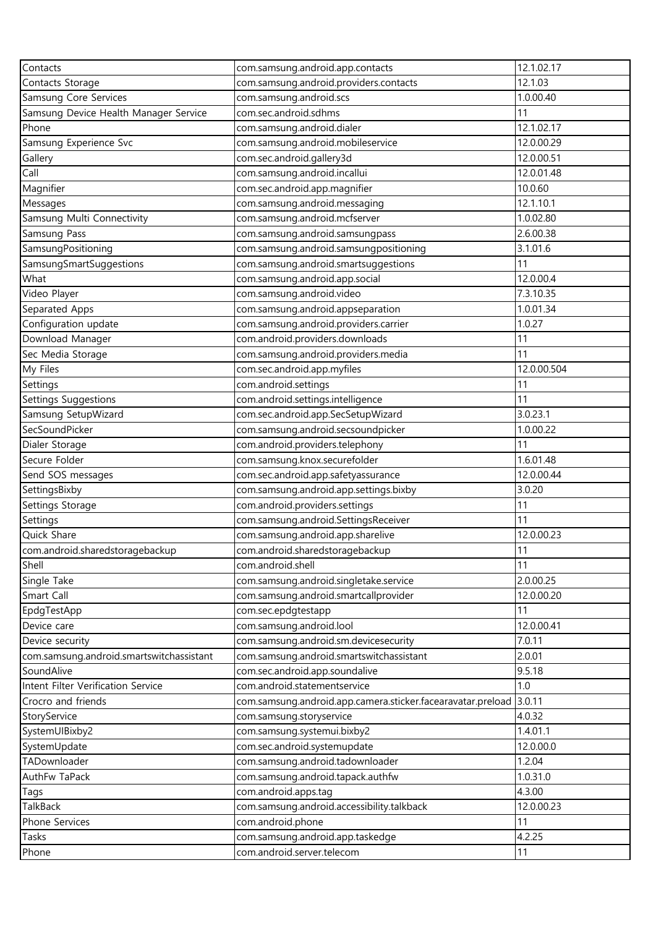| Contacts                                 | com.samsung.android.app.contacts                            | 12.1.02.17  |
|------------------------------------------|-------------------------------------------------------------|-------------|
| Contacts Storage                         | com.samsung.android.providers.contacts                      | 12.1.03     |
| Samsung Core Services                    | com.samsung.android.scs                                     | 1.0.00.40   |
| Samsung Device Health Manager Service    | com.sec.android.sdhms                                       | 11          |
| Phone                                    | com.samsung.android.dialer                                  | 12.1.02.17  |
| Samsung Experience Svc                   | com.samsung.android.mobileservice                           | 12.0.00.29  |
| Gallery                                  | com.sec.android.gallery3d                                   | 12.0.00.51  |
| Call                                     | com.samsung.android.incallui                                | 12.0.01.48  |
| Magnifier                                | com.sec.android.app.magnifier                               | 10.0.60     |
| Messages                                 | com.samsung.android.messaging                               | 12.1.10.1   |
| Samsung Multi Connectivity               | com.samsung.android.mcfserver                               | 1.0.02.80   |
| Samsung Pass                             | com.samsung.android.samsungpass                             | 2.6.00.38   |
| SamsungPositioning                       | com.samsung.android.samsungpositioning                      | 3.1.01.6    |
| SamsungSmartSuggestions                  | com.samsung.android.smartsuggestions                        | 11          |
| What                                     | com.samsung.android.app.social                              | 12.0.00.4   |
| Video Player                             | com.samsung.android.video                                   | 7.3.10.35   |
| Separated Apps                           | com.samsung.android.appseparation                           | 1.0.01.34   |
| Configuration update                     | com.samsung.android.providers.carrier                       | 1.0.27      |
| Download Manager                         | com.android.providers.downloads                             | 11          |
|                                          |                                                             |             |
| Sec Media Storage                        | com.samsung.android.providers.media                         | 11          |
| My Files                                 | com.sec.android.app.myfiles                                 | 12.0.00.504 |
| Settings                                 | com.android.settings                                        | 11          |
| <b>Settings Suggestions</b>              | com.android.settings.intelligence                           | 11          |
| Samsung SetupWizard                      | com.sec.android.app.SecSetupWizard                          | 3.0.23.1    |
| SecSoundPicker                           | com.samsung.android.secsoundpicker                          | 1.0.00.22   |
| Dialer Storage                           | com.android.providers.telephony                             | 11          |
| Secure Folder                            | com.samsung.knox.securefolder                               | 1.6.01.48   |
| Send SOS messages                        | com.sec.android.app.safetyassurance                         | 12.0.00.44  |
| SettingsBixby                            | com.samsung.android.app.settings.bixby                      | 3.0.20      |
| Settings Storage                         | com.android.providers.settings                              | 11          |
| Settings                                 | com.samsung.android.SettingsReceiver                        | 11          |
| Quick Share                              | com.samsung.android.app.sharelive                           | 12.0.00.23  |
| com.android.sharedstoragebackup          | com.android.sharedstoragebackup                             | 11          |
| Shell                                    | com.android.shell                                           | 11          |
| Single Take                              | com.samsung.android.singletake.service                      | 2.0.00.25   |
| Smart Call                               | com.samsung.android.smartcallprovider                       | 12.0.00.20  |
| EpdgTestApp                              | com.sec.epdgtestapp                                         | 11          |
| Device care                              | com.samsung.android.lool                                    | 12.0.00.41  |
| Device security                          | com.samsung.android.sm.devicesecurity                       | 7.0.11      |
| com.samsung.android.smartswitchassistant | com.samsung.android.smartswitchassistant                    | 2.0.01      |
| SoundAlive                               | com.sec.android.app.soundalive                              | 9.5.18      |
| Intent Filter Verification Service       | com.android.statementservice                                | 1.0         |
| Crocro and friends                       | com.samsung.android.app.camera.sticker.facearavatar.preload | 3.0.11      |
| StoryService                             | com.samsung.storyservice                                    | 4.0.32      |
| SystemUIBixby2                           | com.samsung.systemui.bixby2                                 | 1.4.01.1    |
| SystemUpdate                             | com.sec.android.systemupdate                                | 12.0.00.0   |
| TADownloader                             | com.samsung.android.tadownloader                            | 1.2.04      |
| AuthFw TaPack                            | com.samsung.android.tapack.authfw                           | 1.0.31.0    |
| Tags                                     | com.android.apps.taq                                        | 4.3.00      |
| TalkBack                                 | com.samsung.android.accessibility.talkback                  | 12.0.00.23  |
| Phone Services                           | com.android.phone                                           | 11          |
| Tasks                                    | com.samsung.android.app.taskedge                            | 4.2.25      |
| Phone                                    | com.android.server.telecom                                  | 11          |
|                                          |                                                             |             |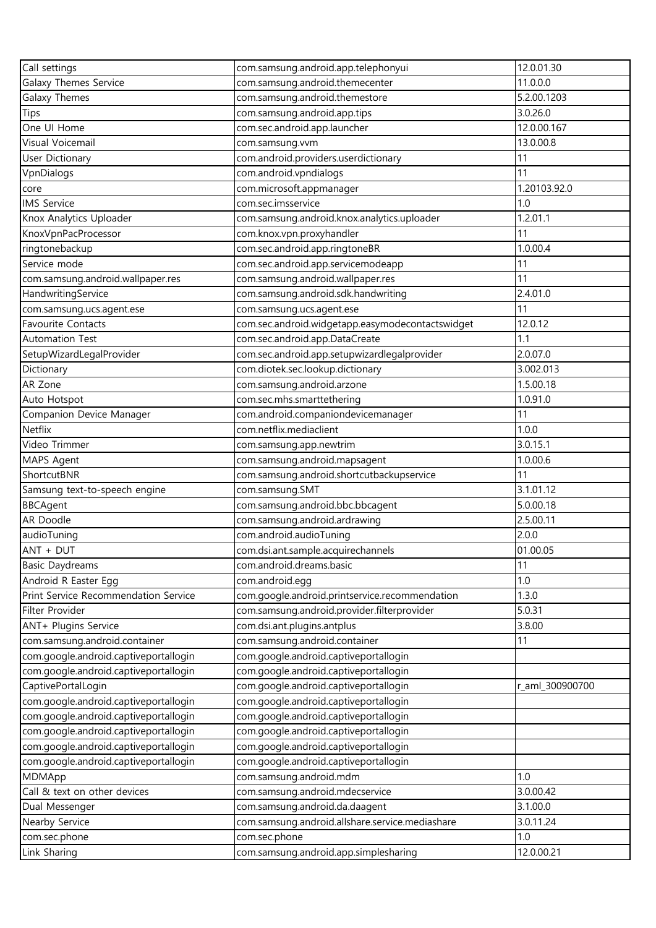| Call settings                         | com.samsung.android.app.telephonyui              | 12.0.01.30      |
|---------------------------------------|--------------------------------------------------|-----------------|
| <b>Galaxy Themes Service</b>          | com.samsung.android.themecenter                  | 11.0.0.0        |
| Galaxy Themes                         | com.samsung.android.themestore                   | 5.2.00.1203     |
| <b>Tips</b>                           | com.samsung.android.app.tips                     | 3.0.26.0        |
| One UI Home                           | com.sec.android.app.launcher                     | 12.0.00.167     |
| Visual Voicemail                      | com.samsung.vvm                                  | 13.0.00.8       |
| User Dictionary                       | com.android.providers.userdictionary             | 11              |
| VpnDialogs                            | com.android.vpndialogs                           | 11              |
| core                                  | com.microsoft.appmanager                         | 1.20103.92.0    |
| <b>IMS Service</b>                    | com.sec.imsservice                               | 1.0             |
| Knox Analytics Uploader               | com.samsung.android.knox.analytics.uploader      | 1.2.01.1        |
| KnoxVpnPacProcessor                   | com.knox.vpn.proxyhandler                        | 11              |
| ringtonebackup                        | com.sec.android.app.ringtoneBR                   | 1.0.00.4        |
| Service mode                          | com.sec.android.app.servicemodeapp               | 11              |
| com.samsung.android.wallpaper.res     | com.samsung.android.wallpaper.res                | 11              |
| HandwritingService                    | com.samsung.android.sdk.handwriting              | 2.4.01.0        |
| com.samsung.ucs.agent.ese             | com.samsung.ucs.agent.ese                        | 11              |
| <b>Favourite Contacts</b>             | com.sec.android.widgetapp.easymodecontactswidget | 12.0.12         |
| <b>Automation Test</b>                | com.sec.android.app.DataCreate                   | 1.1             |
| SetupWizardLegalProvider              | com.sec.android.app.setupwizardlegalprovider     | 2.0.07.0        |
| Dictionary                            | com.diotek.sec.lookup.dictionary                 | 3.002.013       |
| AR Zone                               | com.samsung.android.arzone                       | 1.5.00.18       |
| Auto Hotspot                          | com.sec.mhs.smarttethering                       | 1.0.91.0        |
| Companion Device Manager              | com.android.companiondevicemanager               | 11              |
| Netflix                               | com.netflix.mediaclient                          | 1.0.0           |
| Video Trimmer                         | com.samsung.app.newtrim                          | 3.0.15.1        |
| MAPS Agent                            | com.samsung.android.mapsagent                    | 1.0.00.6        |
| ShortcutBNR                           | com.samsung.android.shortcutbackupservice        | 11              |
| Samsung text-to-speech engine         | com.samsung.SMT                                  | 3.1.01.12       |
| <b>BBCAgent</b>                       | com.samsung.android.bbc.bbcagent                 | 5.0.00.18       |
| <b>AR Doodle</b>                      | com.samsung.android.ardrawing                    | 2.5.00.11       |
| audioTuning                           | com.android.audioTuning                          | 2.0.0           |
| ANT + DUT                             | com.dsi.ant.sample.acquirechannels               | 01.00.05        |
| <b>Basic Daydreams</b>                | com.android.dreams.basic                         | 11              |
| Android R Easter Egg                  | com.android.egg                                  | 1.0             |
| Print Service Recommendation Service  | com.google.android.printservice.recommendation   | 1.3.0           |
| Filter Provider                       | com.samsung.android.provider.filterprovider      | 5.0.31          |
| ANT+ Plugins Service                  | com.dsi.ant.plugins.antplus                      | 3.8.00          |
| com.samsung.android.container         | com.samsung.android.container                    | 11              |
| com.google.android.captiveportallogin | com.google.android.captiveportallogin            |                 |
| com.google.android.captiveportallogin | com.google.android.captiveportallogin            |                 |
| CaptivePortalLogin                    | com.google.android.captiveportallogin            | r_aml_300900700 |
| com.google.android.captiveportallogin | com.google.android.captiveportallogin            |                 |
| com.google.android.captiveportallogin | com.google.android.captiveportallogin            |                 |
| com.google.android.captiveportallogin | com.google.android.captiveportallogin            |                 |
| com.google.android.captiveportallogin | com.google.android.captiveportallogin            |                 |
| com.google.android.captiveportallogin | com.google.android.captiveportallogin            |                 |
| MDMApp                                | com.samsung.android.mdm                          | 1.0             |
| Call & text on other devices          | com.samsung.android.mdecservice                  | 3.0.00.42       |
| Dual Messenger                        | com.samsung.android.da.daagent                   | 3.1.00.0        |
| Nearby Service                        | com.samsung.android.allshare.service.mediashare  | 3.0.11.24       |
| com.sec.phone                         | com.sec.phone                                    | 1.0             |
| Link Sharing                          | com.samsung.android.app.simplesharing            | 12.0.00.21      |
|                                       |                                                  |                 |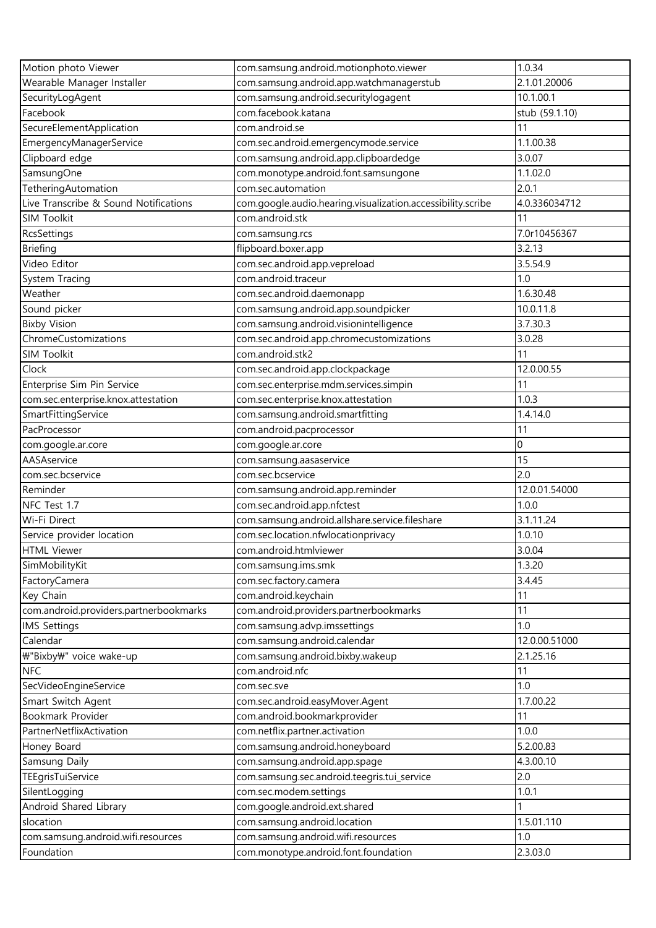| Motion photo Viewer                    | com.samsung.android.motionphoto.viewer                      | 1.0.34         |
|----------------------------------------|-------------------------------------------------------------|----------------|
| Wearable Manager Installer             | com.samsung.android.app.watchmanagerstub                    | 2.1.01.20006   |
| SecurityLogAgent                       | com.samsung.android.securitylogagent                        | 10.1.00.1      |
| Facebook                               | com.facebook.katana                                         | stub (59.1.10) |
| SecureElementApplication               | com.android.se                                              | 11             |
| EmergencyManagerService                | com.sec.android.emergencymode.service                       | 1.1.00.38      |
| Clipboard edge                         | com.samsung.android.app.clipboardedge                       | 3.0.07         |
| SamsungOne                             | com.monotype.android.font.samsungone                        | 1.1.02.0       |
| TetheringAutomation                    | com.sec.automation                                          | 2.0.1          |
| Live Transcribe & Sound Notifications  | com.google.audio.hearing.visualization.accessibility.scribe | 4.0.336034712  |
| <b>SIM Toolkit</b>                     | com.android.stk                                             | 11             |
| RcsSettings                            | com.samsung.rcs                                             | 7.0r10456367   |
| <b>Briefing</b>                        | flipboard.boxer.app                                         | 3.2.13         |
| Video Editor                           | com.sec.android.app.vepreload                               | 3.5.54.9       |
| System Tracing                         | com.android.traceur                                         | 1.0            |
| Weather                                | com.sec.android.daemonapp                                   | 1.6.30.48      |
| Sound picker                           | com.samsung.android.app.soundpicker                         | 10.0.11.8      |
| <b>Bixby Vision</b>                    | com.samsung.android.visionintelligence                      | 3.7.30.3       |
| ChromeCustomizations                   | com.sec.android.app.chromecustomizations                    | 3.0.28         |
| SIM Toolkit                            | com.android.stk2                                            | 11             |
| Clock                                  | com.sec.android.app.clockpackage                            | 12.0.00.55     |
| Enterprise Sim Pin Service             | com.sec.enterprise.mdm.services.simpin                      | 11             |
| com.sec.enterprise.knox.attestation    | com.sec.enterprise.knox.attestation                         | 1.0.3          |
| SmartFittingService                    | com.samsung.android.smartfitting                            | 1.4.14.0       |
| PacProcessor                           | com.android.pacprocessor                                    | 11             |
| com.google.ar.core                     | com.google.ar.core                                          | $\mathbf{0}$   |
| AASAservice                            | com.samsung.aasaservice                                     | 15             |
| com.sec.bcservice                      | com.sec.bcservice                                           | 2.0            |
| Reminder                               | com.samsung.android.app.reminder                            | 12.0.01.54000  |
| NFC Test 1.7                           | com.sec.android.app.nfctest                                 | 1.0.0          |
| Wi-Fi Direct                           | com.samsung.android.allshare.service.fileshare              | 3.1.11.24      |
| Service provider location              | com.sec.location.nfwlocationprivacy                         | 1.0.10         |
| <b>HTML Viewer</b>                     | com.android.htmlviewer                                      | 3.0.04         |
| SimMobilityKit                         | com.samsung.ims.smk                                         | 1.3.20         |
| FactoryCamera                          | com.sec.factory.camera                                      | 3.4.45         |
| Key Chain                              | com.android.keychain                                        | 11             |
| com.android.providers.partnerbookmarks | com.android.providers.partnerbookmarks                      | 11             |
| <b>IMS Settings</b>                    | com.samsung.advp.imssettings                                | 1.0            |
| Calendar                               | com.samsung.android.calendar                                | 12.0.00.51000  |
| \"Bixby\" voice wake-up                | com.samsung.android.bixby.wakeup                            | 2.1.25.16      |
| <b>NFC</b>                             | com.android.nfc                                             | 11             |
| SecVideoEngineService                  | com.sec.sve                                                 | 1.0            |
| Smart Switch Agent                     | com.sec.android.easyMover.Agent                             | 1.7.00.22      |
| Bookmark Provider                      | com.android.bookmarkprovider                                | 11             |
| PartnerNetflixActivation               | com.netflix.partner.activation                              | 1.0.0          |
| Honey Board                            | com.samsung.android.honeyboard                              | 5.2.00.83      |
| Samsung Daily                          | com.samsung.android.app.spage                               | 4.3.00.10      |
| TEEgrisTuiService                      | com.samsung.sec.android.teegris.tui_service                 | 2.0            |
| SilentLogging                          | com.sec.modem.settings                                      | 1.0.1          |
| Android Shared Library                 | com.google.android.ext.shared                               |                |
| slocation                              | com.samsung.android.location                                | 1.5.01.110     |
| com.samsung.android.wifi.resources     | com.samsung.android.wifi.resources                          | 1.0            |
| Foundation                             | com.monotype.android.font.foundation                        | 2.3.03.0       |
|                                        |                                                             |                |